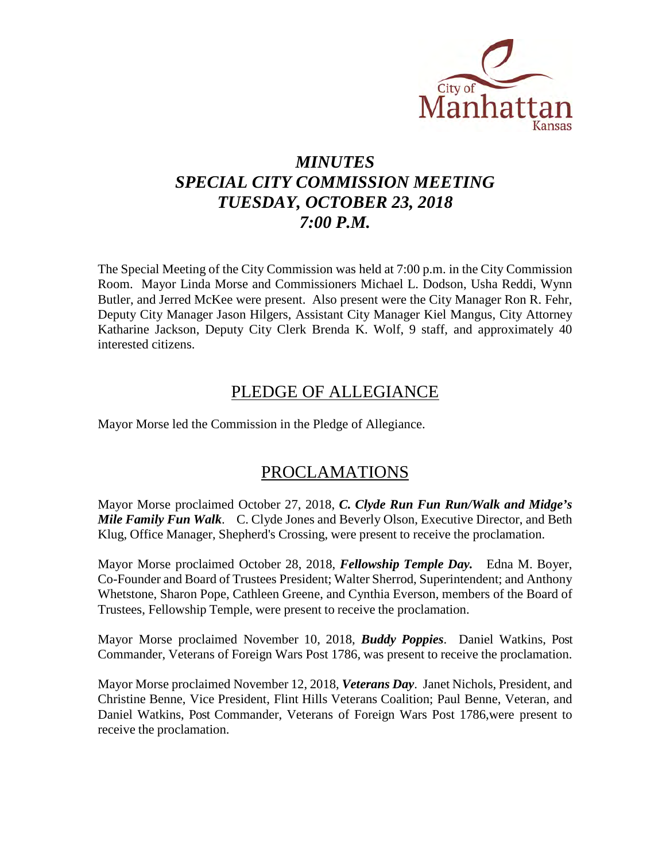

## *MINUTES SPECIAL CITY COMMISSION MEETING TUESDAY, OCTOBER 23, 2018 7:00 P.M.*

The Special Meeting of the City Commission was held at 7:00 p.m. in the City Commission Room. Mayor Linda Morse and Commissioners Michael L. Dodson, Usha Reddi, Wynn Butler, and Jerred McKee were present. Also present were the City Manager Ron R. Fehr, Deputy City Manager Jason Hilgers, Assistant City Manager Kiel Mangus, City Attorney Katharine Jackson, Deputy City Clerk Brenda K. Wolf, 9 staff, and approximately 40 interested citizens.

### PLEDGE OF ALLEGIANCE

Mayor Morse led the Commission in the Pledge of Allegiance.

### PROCLAMATIONS

Mayor Morse proclaimed October 27, 2018, *C. Clyde Run Fun Run/Walk and Midge's Mile Family Fun Walk*. C. Clyde Jones and Beverly Olson, Executive Director, and Beth Klug, Office Manager, Shepherd's Crossing, were present to receive the proclamation.

Mayor Morse proclaimed October 28, 2018, *Fellowship Temple Day.* Edna M. Boyer, Co-Founder and Board of Trustees President; Walter Sherrod, Superintendent; and Anthony Whetstone, Sharon Pope, Cathleen Greene, and Cynthia Everson, members of the Board of Trustees, Fellowship Temple, were present to receive the proclamation.

Mayor Morse proclaimed November 10, 2018, *Buddy Poppies*. Daniel Watkins, Post Commander, Veterans of Foreign Wars Post 1786, was present to receive the proclamation.

Mayor Morse proclaimed November 12, 2018, *Veterans Day*. Janet Nichols, President, and Christine Benne, Vice President, Flint Hills Veterans Coalition; Paul Benne, Veteran, and Daniel Watkins, Post Commander, Veterans of Foreign Wars Post 1786,were present to receive the proclamation.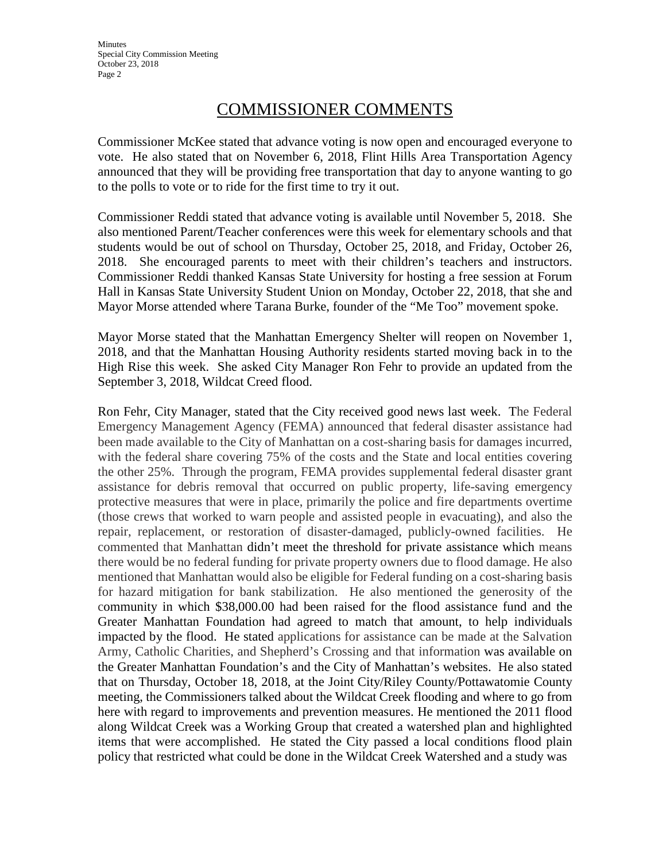**Minutes** Special City Commission Meeting October 23, 2018 Page 2

### COMMISSIONER COMMENTS

Commissioner McKee stated that advance voting is now open and encouraged everyone to vote. He also stated that on November 6, 2018, Flint Hills Area Transportation Agency announced that they will be providing free transportation that day to anyone wanting to go to the polls to vote or to ride for the first time to try it out.

Commissioner Reddi stated that advance voting is available until November 5, 2018. She also mentioned Parent/Teacher conferences were this week for elementary schools and that students would be out of school on Thursday, October 25, 2018, and Friday, October 26, 2018. She encouraged parents to meet with their children's teachers and instructors. Commissioner Reddi thanked Kansas State University for hosting a free session at Forum Hall in Kansas State University Student Union on Monday, October 22, 2018, that she and Mayor Morse attended where Tarana Burke, founder of the "Me Too" movement spoke.

Mayor Morse stated that the Manhattan Emergency Shelter will reopen on November 1, 2018, and that the Manhattan Housing Authority residents started moving back in to the High Rise this week. She asked City Manager Ron Fehr to provide an updated from the September 3, 2018, Wildcat Creed flood.

Ron Fehr, City Manager, stated that the City received good news last week. The Federal Emergency Management Agency (FEMA) announced that federal disaster assistance had been made available to the City of Manhattan on a cost-sharing basis for damages incurred, with the federal share covering 75% of the costs and the State and local entities covering the other 25%. Through the program, FEMA provides supplemental federal disaster grant assistance for debris removal that occurred on public property, life-saving emergency protective measures that were in place, primarily the police and fire departments overtime (those crews that worked to warn people and assisted people in evacuating), and also the repair, replacement, or restoration of disaster-damaged, publicly-owned facilities. He commented that Manhattan didn't meet the threshold for private assistance which means there would be no federal funding for private property owners due to flood damage. He also mentioned that Manhattan would also be eligible for Federal funding on a cost-sharing basis for hazard mitigation for bank stabilization. He also mentioned the generosity of the community in which \$38,000.00 had been raised for the flood assistance fund and the Greater Manhattan Foundation had agreed to match that amount, to help individuals impacted by the flood. He stated applications for assistance can be made at the Salvation Army, Catholic Charities, and Shepherd's Crossing and that information was available on the Greater Manhattan Foundation's and the City of Manhattan's websites. He also stated that on Thursday, October 18, 2018, at the Joint City/Riley County/Pottawatomie County meeting, the Commissioners talked about the Wildcat Creek flooding and where to go from here with regard to improvements and prevention measures. He mentioned the 2011 flood along Wildcat Creek was a Working Group that created a watershed plan and highlighted items that were accomplished. He stated the City passed a local conditions flood plain policy that restricted what could be done in the Wildcat Creek Watershed and a study was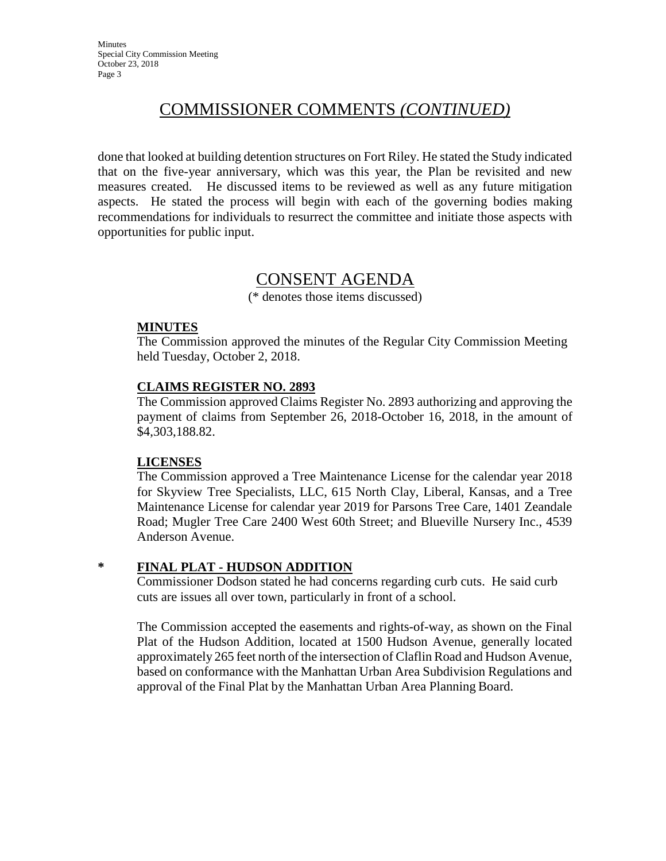### COMMISSIONER COMMENTS *(CONTINUED)*

done that looked at building detention structures on Fort Riley. He stated the Study indicated that on the five-year anniversary, which was this year, the Plan be revisited and new measures created. He discussed items to be reviewed as well as any future mitigation aspects. He stated the process will begin with each of the governing bodies making recommendations for individuals to resurrect the committee and initiate those aspects with opportunities for public input.

### CONSENT AGENDA

(\* denotes those items discussed)

#### **MINUTES**

The Commission approved the minutes of the Regular City Commission Meeting held Tuesday, October 2, 2018.

#### **CLAIMS REGISTER NO. 2893**

The Commission approved Claims Register No. 2893 authorizing and approving the payment of claims from September 26, 2018-October 16, 2018, in the amount of \$4,303,188.82.

#### **LICENSES**

The Commission approved a Tree Maintenance License for the calendar year 2018 for Skyview Tree Specialists, LLC, 615 North Clay, Liberal, Kansas, and a Tree Maintenance License for calendar year 2019 for Parsons Tree Care, 1401 Zeandale Road; Mugler Tree Care 2400 West 60th Street; and Blueville Nursery Inc., 4539 Anderson Avenue.

#### **\* FINAL PLAT - HUDSON ADDITION**

Commissioner Dodson stated he had concerns regarding curb cuts. He said curb cuts are issues all over town, particularly in front of a school.

The Commission accepted the easements and rights-of-way, as shown on the Final Plat of the Hudson Addition, located at 1500 Hudson Avenue, generally located approximately 265 feet north of the intersection of Claflin Road and Hudson Avenue, based on conformance with the Manhattan Urban Area Subdivision Regulations and approval of the Final Plat by the Manhattan Urban Area Planning Board.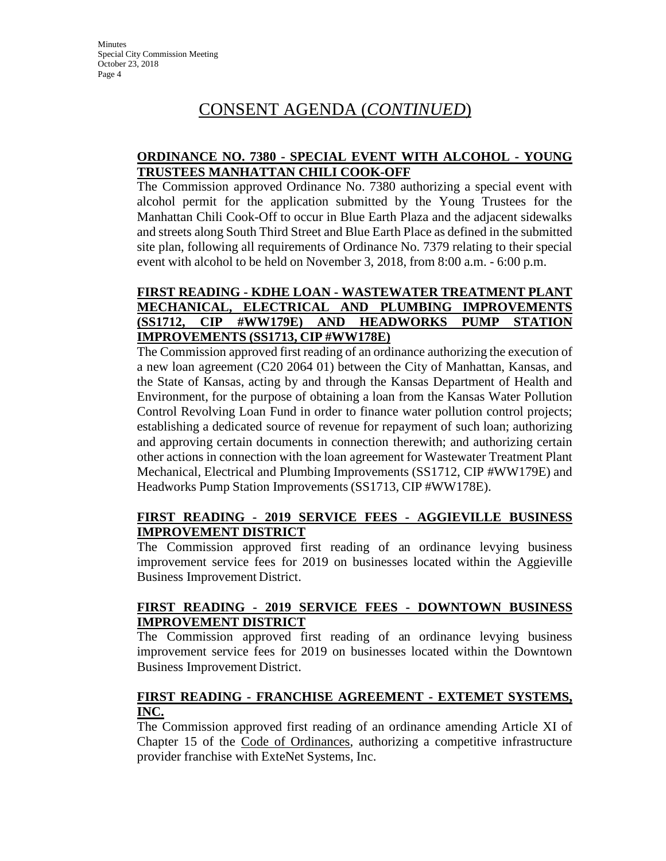## CONSENT AGENDA (*CONTINUED*)

#### **ORDINANCE NO. 7380 - SPECIAL EVENT WITH ALCOHOL - YOUNG TRUSTEES MANHATTAN CHILI COOK-OFF**

The Commission approved Ordinance No. 7380 authorizing a special event with alcohol permit for the application submitted by the Young Trustees for the Manhattan Chili Cook-Off to occur in Blue Earth Plaza and the adjacent sidewalks and streets along South Third Street and Blue Earth Place as defined in the submitted site plan, following all requirements of Ordinance No. 7379 relating to their special event with alcohol to be held on November 3, 2018, from 8:00 a.m. - 6:00 p.m.

#### **FIRST READING - KDHE LOAN - WASTEWATER TREATMENT PLANT MECHANICAL, ELECTRICAL AND PLUMBING IMPROVEMENTS (SS1712, CIP #WW179E) AND HEADWORKS PUMP STATION IMPROVEMENTS (SS1713, CIP #WW178E)**

The Commission approved first reading of an ordinance authorizing the execution of a new loan agreement (C20 2064 01) between the City of Manhattan, Kansas, and the State of Kansas, acting by and through the Kansas Department of Health and Environment, for the purpose of obtaining a loan from the Kansas Water Pollution Control Revolving Loan Fund in order to finance water pollution control projects; establishing a dedicated source of revenue for repayment of such loan; authorizing and approving certain documents in connection therewith; and authorizing certain other actions in connection with the loan agreement for Wastewater Treatment Plant Mechanical, Electrical and Plumbing Improvements (SS1712, CIP #WW179E) and Headworks Pump Station Improvements (SS1713, CIP #WW178E).

### **FIRST READING - 2019 SERVICE FEES - AGGIEVILLE BUSINESS IMPROVEMENT DISTRICT**

The Commission approved first reading of an ordinance levying business improvement service fees for 2019 on businesses located within the Aggieville Business Improvement District.

#### **FIRST READING - 2019 SERVICE FEES - DOWNTOWN BUSINESS IMPROVEMENT DISTRICT**

The Commission approved first reading of an ordinance levying business improvement service fees for 2019 on businesses located within the Downtown Business Improvement District.

#### **FIRST READING - FRANCHISE AGREEMENT - EXTEMET SYSTEMS, INC.**

The Commission approved first reading of an ordinance amending Article XI of Chapter 15 of the Code of Ordinances, authorizing a competitive infrastructure provider franchise with ExteNet Systems, Inc.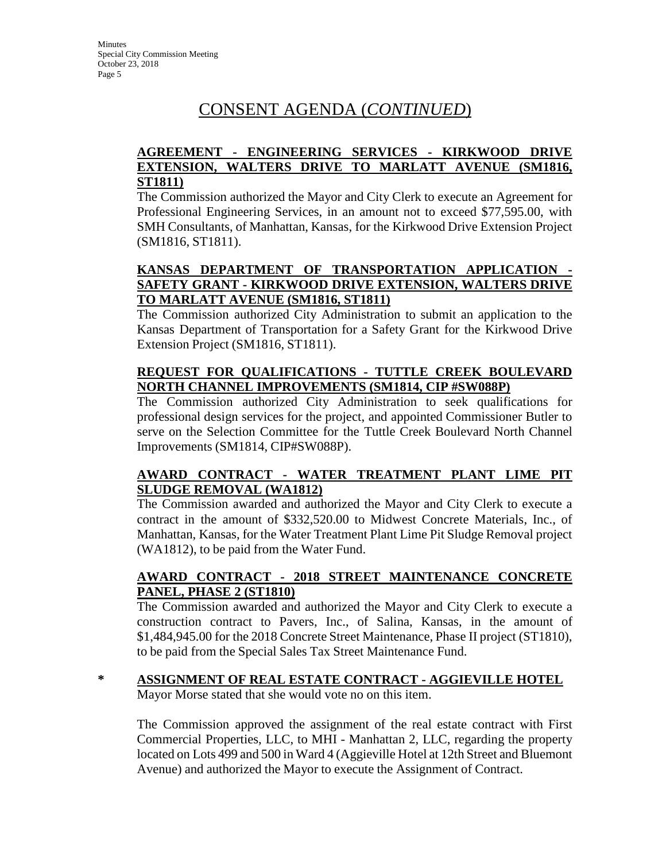## CONSENT AGENDA (*CONTINUED*)

#### **AGREEMENT - ENGINEERING SERVICES - KIRKWOOD DRIVE EXTENSION, WALTERS DRIVE TO MARLATT AVENUE (SM1816, ST1811)**

The Commission authorized the Mayor and City Clerk to execute an Agreement for Professional Engineering Services, in an amount not to exceed \$77,595.00, with SMH Consultants, of Manhattan, Kansas, for the Kirkwood Drive Extension Project (SM1816, ST1811).

### **KANSAS DEPARTMENT OF TRANSPORTATION APPLICATION - SAFETY GRANT - KIRKWOOD DRIVE EXTENSION, WALTERS DRIVE TO MARLATT AVENUE (SM1816, ST1811)**

The Commission authorized City Administration to submit an application to the Kansas Department of Transportation for a Safety Grant for the Kirkwood Drive Extension Project (SM1816, ST1811).

### **REQUEST FOR QUALIFICATIONS - TUTTLE CREEK BOULEVARD NORTH CHANNEL IMPROVEMENTS (SM1814, CIP #SW088P)**

The Commission authorized City Administration to seek qualifications for professional design services for the project, and appointed Commissioner Butler to serve on the Selection Committee for the Tuttle Creek Boulevard North Channel Improvements (SM1814, CIP#SW088P).

### **AWARD CONTRACT - WATER TREATMENT PLANT LIME PIT SLUDGE REMOVAL (WA1812)**

The Commission awarded and authorized the Mayor and City Clerk to execute a contract in the amount of \$332,520.00 to Midwest Concrete Materials, Inc., of Manhattan, Kansas, for the Water Treatment Plant Lime Pit Sludge Removal project (WA1812), to be paid from the Water Fund.

#### **AWARD CONTRACT - 2018 STREET MAINTENANCE CONCRETE PANEL, PHASE 2 (ST1810)**

The Commission awarded and authorized the Mayor and City Clerk to execute a construction contract to Pavers, Inc., of Salina, Kansas, in the amount of \$1,484,945.00 for the 2018 Concrete Street Maintenance, Phase II project (ST1810), to be paid from the Special Sales Tax Street Maintenance Fund.

#### **\* ASSIGNMENT OF REAL ESTATE CONTRACT - AGGIEVILLE HOTEL** Mayor Morse stated that she would vote no on this item.

The Commission approved the assignment of the real estate contract with First Commercial Properties, LLC, to MHI - Manhattan 2, LLC, regarding the property located on Lots 499 and 500 in Ward 4 (Aggieville Hotel at 12th Street and Bluemont Avenue) and authorized the Mayor to execute the Assignment of Contract.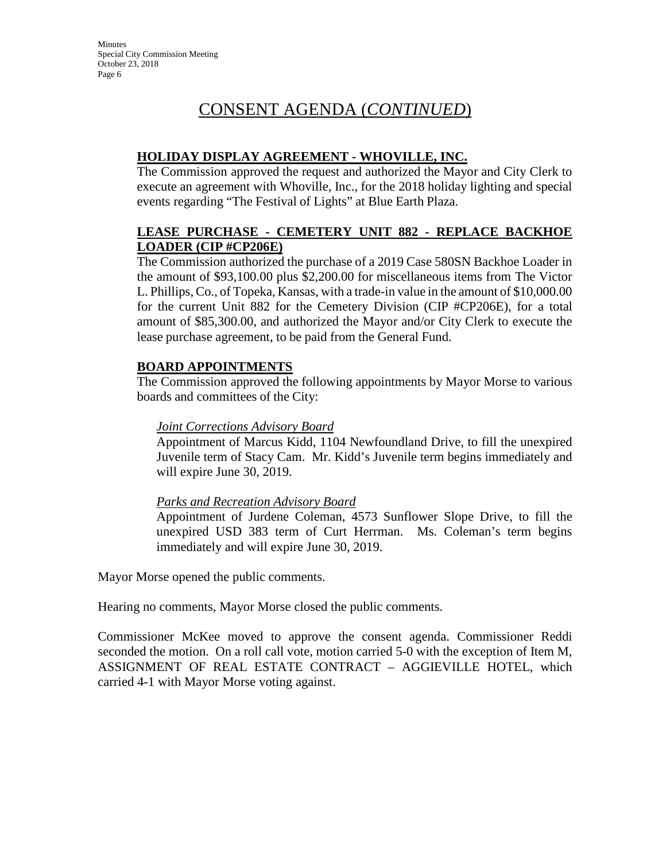# CONSENT AGENDA (*CONTINUED*)

### **HOLIDAY DISPLAY AGREEMENT - WHOVILLE, INC.**

The Commission approved the request and authorized the Mayor and City Clerk to execute an agreement with Whoville, Inc., for the 2018 holiday lighting and special events regarding "The Festival of Lights" at Blue Earth Plaza.

#### **LEASE PURCHASE - CEMETERY UNIT 882 - REPLACE BACKHOE LOADER (CIP #CP206E)**

The Commission authorized the purchase of a 2019 Case 580SN Backhoe Loader in the amount of \$93,100.00 plus \$2,200.00 for miscellaneous items from The Victor L. Phillips, Co., of Topeka, Kansas, with a trade-in value in the amount of \$10,000.00 for the current Unit 882 for the Cemetery Division (CIP #CP206E), for a total amount of \$85,300.00, and authorized the Mayor and/or City Clerk to execute the lease purchase agreement, to be paid from the General Fund.

#### **BOARD APPOINTMENTS**

The Commission approved the following appointments by Mayor Morse to various boards and committees of the City:

#### *Joint Corrections Advisory Board*

Appointment of Marcus Kidd, 1104 Newfoundland Drive, to fill the unexpired Juvenile term of Stacy Cam. Mr. Kidd's Juvenile term begins immediately and will expire June 30, 2019.

#### *Parks and Recreation Advisory Board*

Appointment of Jurdene Coleman, 4573 Sunflower Slope Drive, to fill the unexpired USD 383 term of Curt Herrman. Ms. Coleman's term begins immediately and will expire June 30, 2019.

Mayor Morse opened the public comments.

Hearing no comments, Mayor Morse closed the public comments.

Commissioner McKee moved to approve the consent agenda. Commissioner Reddi seconded the motion. On a roll call vote, motion carried 5-0 with the exception of Item M, ASSIGNMENT OF REAL ESTATE CONTRACT – AGGIEVILLE HOTEL, which carried 4-1 with Mayor Morse voting against.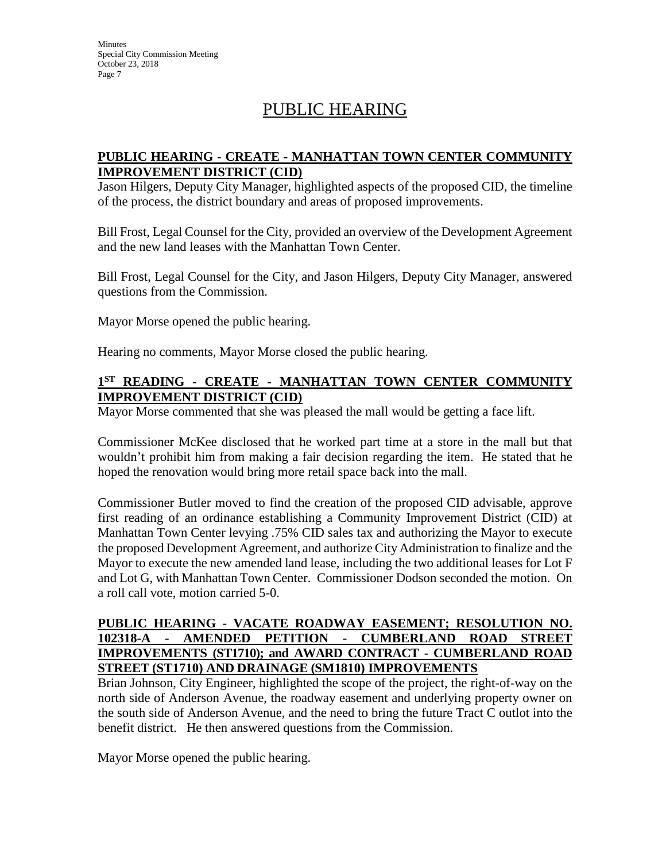**Minutes** Special City Commission Meeting October 23, 2018 Page 7

# PUBLIC HEARING

#### **PUBLIC HEARING - CREATE - MANHATTAN TOWN CENTER COMMUNITY IMPROVEMENT DISTRICT (CID)**

Jason Hilgers, Deputy City Manager, highlighted aspects of the proposed CID, the timeline of the process, the district boundary and areas of proposed improvements.

Bill Frost, Legal Counsel for the City, provided an overview of the Development Agreement and the new land leases with the Manhattan Town Center.

Bill Frost, Legal Counsel for the City, and Jason Hilgers, Deputy City Manager, answered questions from the Commission.

Mayor Morse opened the public hearing.

Hearing no comments, Mayor Morse closed the public hearing.

#### **1ST READING - CREATE - MANHATTAN TOWN CENTER COMMUNITY IMPROVEMENT DISTRICT (CID)**

Mayor Morse commented that she was pleased the mall would be getting a face lift.

Commissioner McKee disclosed that he worked part time at a store in the mall but that wouldn't prohibit him from making a fair decision regarding the item. He stated that he hoped the renovation would bring more retail space back into the mall.

Commissioner Butler moved to find the creation of the proposed CID advisable, approve first reading of an ordinance establishing a Community Improvement District (CID) at Manhattan Town Center levying .75% CID sales tax and authorizing the Mayor to execute the proposed Development Agreement, and authorize City Administration to finalize and the Mayor to execute the new amended land lease, including the two additional leases for Lot F and Lot G, with Manhattan Town Center. Commissioner Dodson seconded the motion. On a roll call vote, motion carried 5-0.

#### **PUBLIC HEARING - VACATE ROADWAY EASEMENT; RESOLUTION NO. 102318-A - AMENDED PETITION - CUMBERLAND ROAD STREET IMPROVEMENTS (ST1710); and AWARD CONTRACT - CUMBERLAND ROAD STREET (ST1710) AND DRAINAGE (SM1810) IMPROVEMENTS**

Brian Johnson, City Engineer, highlighted the scope of the project, the right-of-way on the north side of Anderson Avenue, the roadway easement and underlying property owner on the south side of Anderson Avenue, and the need to bring the future Tract C outlot into the benefit district. He then answered questions from the Commission.

Mayor Morse opened the public hearing.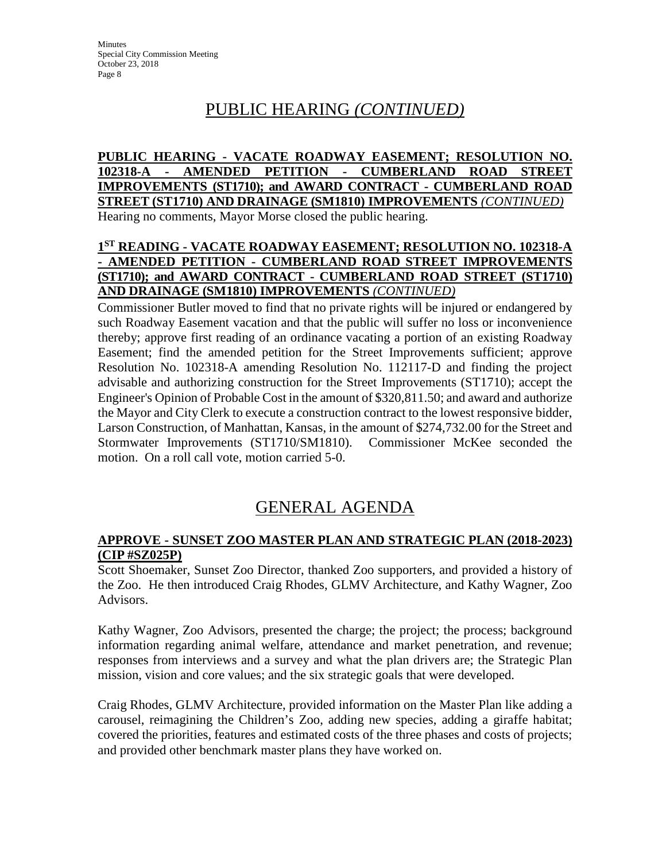# PUBLIC HEARING *(CONTINUED)*

**PUBLIC HEARING - VACATE ROADWAY EASEMENT; RESOLUTION NO. 102318-A - AMENDED PETITION - CUMBERLAND ROAD STREET IMPROVEMENTS (ST1710); and AWARD CONTRACT - CUMBERLAND ROAD STREET (ST1710) AND DRAINAGE (SM1810) IMPROVEMENTS** *(CONTINUED)* Hearing no comments, Mayor Morse closed the public hearing.

#### **1ST READING - VACATE ROADWAY EASEMENT; RESOLUTION NO. 102318-A - AMENDED PETITION - CUMBERLAND ROAD STREET IMPROVEMENTS (ST1710); and AWARD CONTRACT - CUMBERLAND ROAD STREET (ST1710) AND DRAINAGE (SM1810) IMPROVEMENTS** *(CONTINUED)*

Commissioner Butler moved to find that no private rights will be injured or endangered by such Roadway Easement vacation and that the public will suffer no loss or inconvenience thereby; approve first reading of an ordinance vacating a portion of an existing Roadway Easement; find the amended petition for the Street Improvements sufficient; approve Resolution No. 102318-A amending Resolution No. 112117-D and finding the project advisable and authorizing construction for the Street Improvements (ST1710); accept the Engineer's Opinion of Probable Cost in the amount of \$320,811.50; and award and authorize the Mayor and City Clerk to execute a construction contract to the lowest responsive bidder, Larson Construction, of Manhattan, Kansas, in the amount of \$274,732.00 for the Street and Stormwater Improvements (ST1710/SM1810). Commissioner McKee seconded the motion. On a roll call vote, motion carried 5-0.

# GENERAL AGENDA

#### **APPROVE - SUNSET ZOO MASTER PLAN AND STRATEGIC PLAN (2018-2023) (CIP #SZ025P)**

Scott Shoemaker, Sunset Zoo Director, thanked Zoo supporters, and provided a history of the Zoo. He then introduced Craig Rhodes, GLMV Architecture, and Kathy Wagner, Zoo Advisors.

Kathy Wagner, Zoo Advisors, presented the charge; the project; the process; background information regarding animal welfare, attendance and market penetration, and revenue; responses from interviews and a survey and what the plan drivers are; the Strategic Plan mission, vision and core values; and the six strategic goals that were developed.

Craig Rhodes, GLMV Architecture, provided information on the Master Plan like adding a carousel, reimagining the Children's Zoo, adding new species, adding a giraffe habitat; covered the priorities, features and estimated costs of the three phases and costs of projects; and provided other benchmark master plans they have worked on.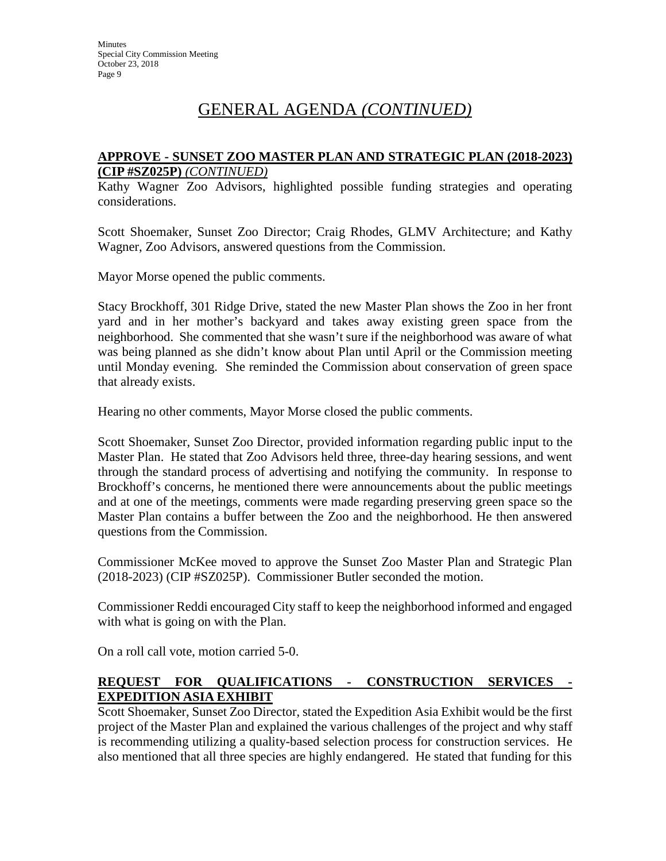#### **APPROVE - SUNSET ZOO MASTER PLAN AND STRATEGIC PLAN (2018-2023) (CIP #SZ025P)** *(CONTINUED)*

Kathy Wagner Zoo Advisors, highlighted possible funding strategies and operating considerations.

Scott Shoemaker, Sunset Zoo Director; Craig Rhodes, GLMV Architecture; and Kathy Wagner, Zoo Advisors, answered questions from the Commission.

Mayor Morse opened the public comments.

Stacy Brockhoff, 301 Ridge Drive, stated the new Master Plan shows the Zoo in her front yard and in her mother's backyard and takes away existing green space from the neighborhood. She commented that she wasn't sure if the neighborhood was aware of what was being planned as she didn't know about Plan until April or the Commission meeting until Monday evening. She reminded the Commission about conservation of green space that already exists.

Hearing no other comments, Mayor Morse closed the public comments.

Scott Shoemaker, Sunset Zoo Director, provided information regarding public input to the Master Plan. He stated that Zoo Advisors held three, three-day hearing sessions, and went through the standard process of advertising and notifying the community. In response to Brockhoff's concerns, he mentioned there were announcements about the public meetings and at one of the meetings, comments were made regarding preserving green space so the Master Plan contains a buffer between the Zoo and the neighborhood. He then answered questions from the Commission.

Commissioner McKee moved to approve the Sunset Zoo Master Plan and Strategic Plan (2018-2023) (CIP #SZ025P). Commissioner Butler seconded the motion.

Commissioner Reddi encouraged City staff to keep the neighborhood informed and engaged with what is going on with the Plan.

On a roll call vote, motion carried 5-0.

#### **REQUEST FOR QUALIFICATIONS - CONSTRUCTION SERVICES - EXPEDITION ASIA EXHIBIT**

Scott Shoemaker, Sunset Zoo Director, stated the Expedition Asia Exhibit would be the first project of the Master Plan and explained the various challenges of the project and why staff is recommending utilizing a quality-based selection process for construction services. He also mentioned that all three species are highly endangered. He stated that funding for this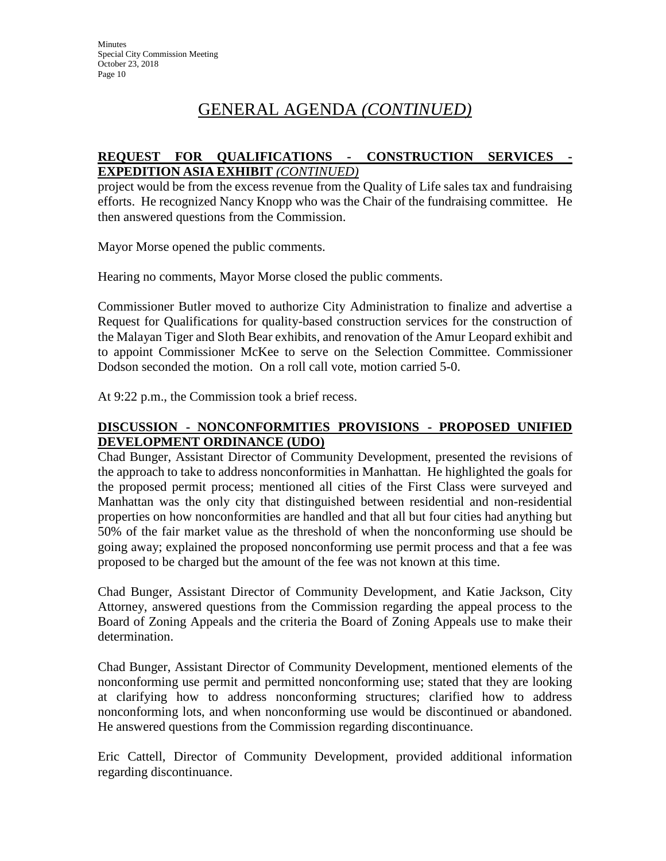#### **REQUEST FOR QUALIFICATIONS - CONSTRUCTION SERVICES - EXPEDITION ASIA EXHIBIT** *(CONTINUED)*

project would be from the excess revenue from the Quality of Life sales tax and fundraising efforts. He recognized Nancy Knopp who was the Chair of the fundraising committee. He then answered questions from the Commission.

Mayor Morse opened the public comments.

Hearing no comments, Mayor Morse closed the public comments.

Commissioner Butler moved to authorize City Administration to finalize and advertise a Request for Qualifications for quality-based construction services for the construction of the Malayan Tiger and Sloth Bear exhibits, and renovation of the Amur Leopard exhibit and to appoint Commissioner McKee to serve on the Selection Committee. Commissioner Dodson seconded the motion. On a roll call vote, motion carried 5-0.

At 9:22 p.m., the Commission took a brief recess.

### **DISCUSSION - NONCONFORMITIES PROVISIONS - PROPOSED UNIFIED DEVELOPMENT ORDINANCE (UDO)**

Chad Bunger, Assistant Director of Community Development, presented the revisions of the approach to take to address nonconformities in Manhattan. He highlighted the goals for the proposed permit process; mentioned all cities of the First Class were surveyed and Manhattan was the only city that distinguished between residential and non-residential properties on how nonconformities are handled and that all but four cities had anything but 50% of the fair market value as the threshold of when the nonconforming use should be going away; explained the proposed nonconforming use permit process and that a fee was proposed to be charged but the amount of the fee was not known at this time.

Chad Bunger, Assistant Director of Community Development, and Katie Jackson, City Attorney, answered questions from the Commission regarding the appeal process to the Board of Zoning Appeals and the criteria the Board of Zoning Appeals use to make their determination.

Chad Bunger, Assistant Director of Community Development, mentioned elements of the nonconforming use permit and permitted nonconforming use; stated that they are looking at clarifying how to address nonconforming structures; clarified how to address nonconforming lots, and when nonconforming use would be discontinued or abandoned. He answered questions from the Commission regarding discontinuance.

Eric Cattell, Director of Community Development, provided additional information regarding discontinuance.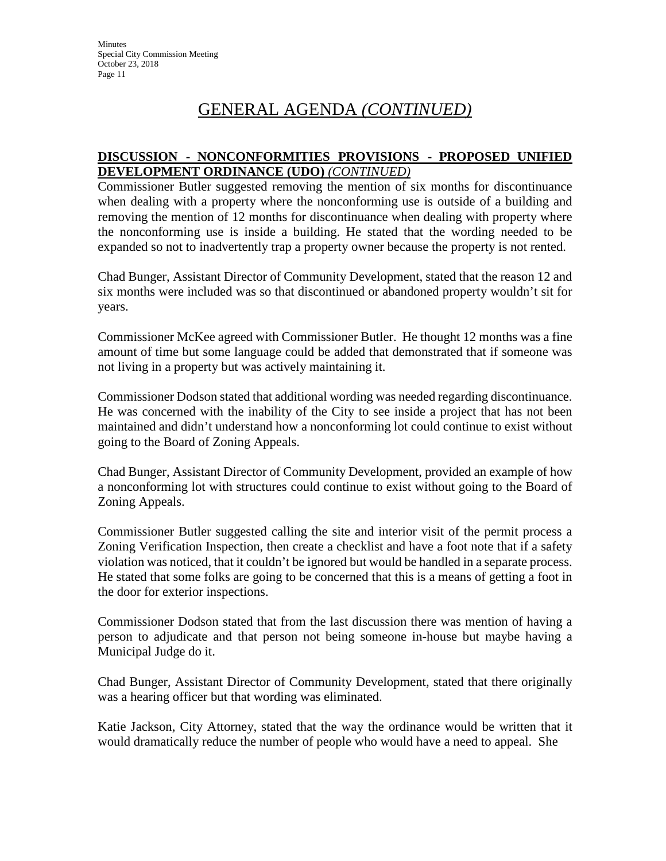#### **DISCUSSION - NONCONFORMITIES PROVISIONS - PROPOSED UNIFIED DEVELOPMENT ORDINANCE (UDO)** *(CONTINUED)*

Commissioner Butler suggested removing the mention of six months for discontinuance when dealing with a property where the nonconforming use is outside of a building and removing the mention of 12 months for discontinuance when dealing with property where the nonconforming use is inside a building. He stated that the wording needed to be expanded so not to inadvertently trap a property owner because the property is not rented.

Chad Bunger, Assistant Director of Community Development, stated that the reason 12 and six months were included was so that discontinued or abandoned property wouldn't sit for years.

Commissioner McKee agreed with Commissioner Butler. He thought 12 months was a fine amount of time but some language could be added that demonstrated that if someone was not living in a property but was actively maintaining it.

Commissioner Dodson stated that additional wording was needed regarding discontinuance. He was concerned with the inability of the City to see inside a project that has not been maintained and didn't understand how a nonconforming lot could continue to exist without going to the Board of Zoning Appeals.

Chad Bunger, Assistant Director of Community Development, provided an example of how a nonconforming lot with structures could continue to exist without going to the Board of Zoning Appeals.

Commissioner Butler suggested calling the site and interior visit of the permit process a Zoning Verification Inspection, then create a checklist and have a foot note that if a safety violation was noticed, that it couldn't be ignored but would be handled in a separate process. He stated that some folks are going to be concerned that this is a means of getting a foot in the door for exterior inspections.

Commissioner Dodson stated that from the last discussion there was mention of having a person to adjudicate and that person not being someone in-house but maybe having a Municipal Judge do it.

Chad Bunger, Assistant Director of Community Development, stated that there originally was a hearing officer but that wording was eliminated.

Katie Jackson, City Attorney, stated that the way the ordinance would be written that it would dramatically reduce the number of people who would have a need to appeal. She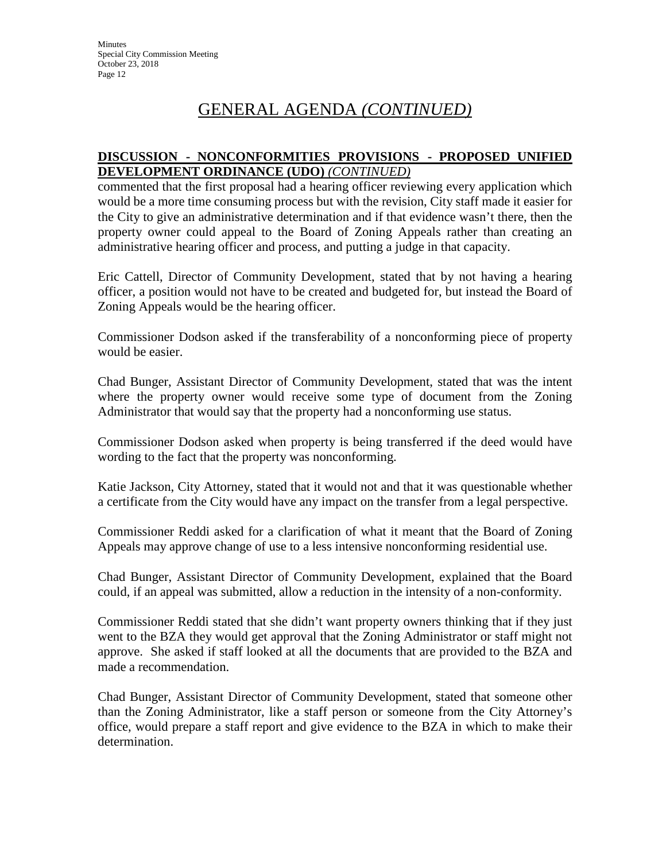#### **DISCUSSION - NONCONFORMITIES PROVISIONS - PROPOSED UNIFIED DEVELOPMENT ORDINANCE (UDO)** *(CONTINUED)*

commented that the first proposal had a hearing officer reviewing every application which would be a more time consuming process but with the revision, City staff made it easier for the City to give an administrative determination and if that evidence wasn't there, then the property owner could appeal to the Board of Zoning Appeals rather than creating an administrative hearing officer and process, and putting a judge in that capacity.

Eric Cattell, Director of Community Development, stated that by not having a hearing officer, a position would not have to be created and budgeted for, but instead the Board of Zoning Appeals would be the hearing officer.

Commissioner Dodson asked if the transferability of a nonconforming piece of property would be easier.

Chad Bunger, Assistant Director of Community Development, stated that was the intent where the property owner would receive some type of document from the Zoning Administrator that would say that the property had a nonconforming use status.

Commissioner Dodson asked when property is being transferred if the deed would have wording to the fact that the property was nonconforming.

Katie Jackson, City Attorney, stated that it would not and that it was questionable whether a certificate from the City would have any impact on the transfer from a legal perspective.

Commissioner Reddi asked for a clarification of what it meant that the Board of Zoning Appeals may approve change of use to a less intensive nonconforming residential use.

Chad Bunger, Assistant Director of Community Development, explained that the Board could, if an appeal was submitted, allow a reduction in the intensity of a non-conformity.

Commissioner Reddi stated that she didn't want property owners thinking that if they just went to the BZA they would get approval that the Zoning Administrator or staff might not approve. She asked if staff looked at all the documents that are provided to the BZA and made a recommendation.

Chad Bunger, Assistant Director of Community Development, stated that someone other than the Zoning Administrator, like a staff person or someone from the City Attorney's office, would prepare a staff report and give evidence to the BZA in which to make their determination.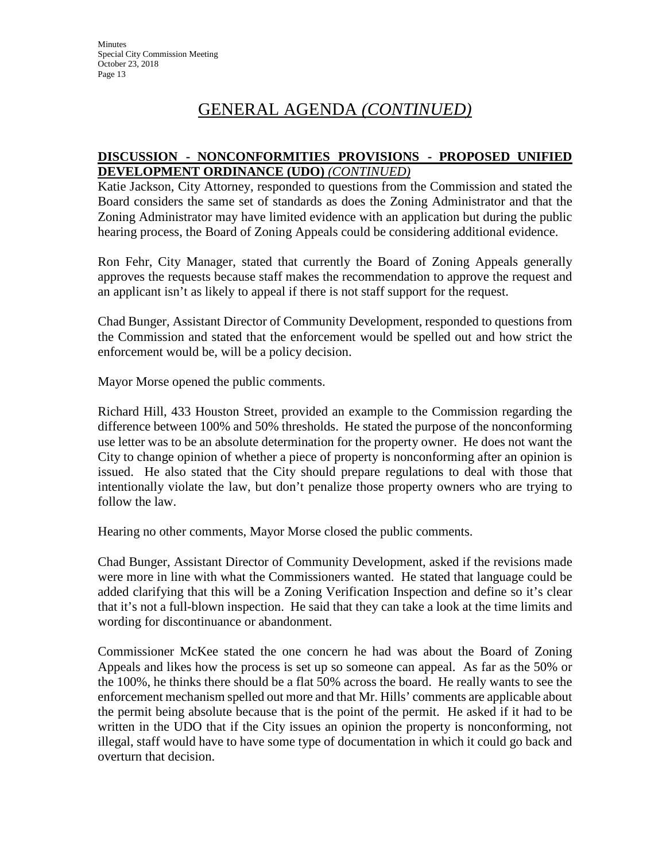#### **DISCUSSION - NONCONFORMITIES PROVISIONS - PROPOSED UNIFIED DEVELOPMENT ORDINANCE (UDO)** *(CONTINUED)*

Katie Jackson, City Attorney, responded to questions from the Commission and stated the Board considers the same set of standards as does the Zoning Administrator and that the Zoning Administrator may have limited evidence with an application but during the public hearing process, the Board of Zoning Appeals could be considering additional evidence.

Ron Fehr, City Manager, stated that currently the Board of Zoning Appeals generally approves the requests because staff makes the recommendation to approve the request and an applicant isn't as likely to appeal if there is not staff support for the request.

Chad Bunger, Assistant Director of Community Development, responded to questions from the Commission and stated that the enforcement would be spelled out and how strict the enforcement would be, will be a policy decision.

Mayor Morse opened the public comments.

Richard Hill, 433 Houston Street, provided an example to the Commission regarding the difference between 100% and 50% thresholds. He stated the purpose of the nonconforming use letter was to be an absolute determination for the property owner. He does not want the City to change opinion of whether a piece of property is nonconforming after an opinion is issued. He also stated that the City should prepare regulations to deal with those that intentionally violate the law, but don't penalize those property owners who are trying to follow the law.

Hearing no other comments, Mayor Morse closed the public comments.

Chad Bunger, Assistant Director of Community Development, asked if the revisions made were more in line with what the Commissioners wanted. He stated that language could be added clarifying that this will be a Zoning Verification Inspection and define so it's clear that it's not a full-blown inspection. He said that they can take a look at the time limits and wording for discontinuance or abandonment.

Commissioner McKee stated the one concern he had was about the Board of Zoning Appeals and likes how the process is set up so someone can appeal. As far as the 50% or the 100%, he thinks there should be a flat 50% across the board. He really wants to see the enforcement mechanism spelled out more and that Mr. Hills' comments are applicable about the permit being absolute because that is the point of the permit. He asked if it had to be written in the UDO that if the City issues an opinion the property is nonconforming, not illegal, staff would have to have some type of documentation in which it could go back and overturn that decision.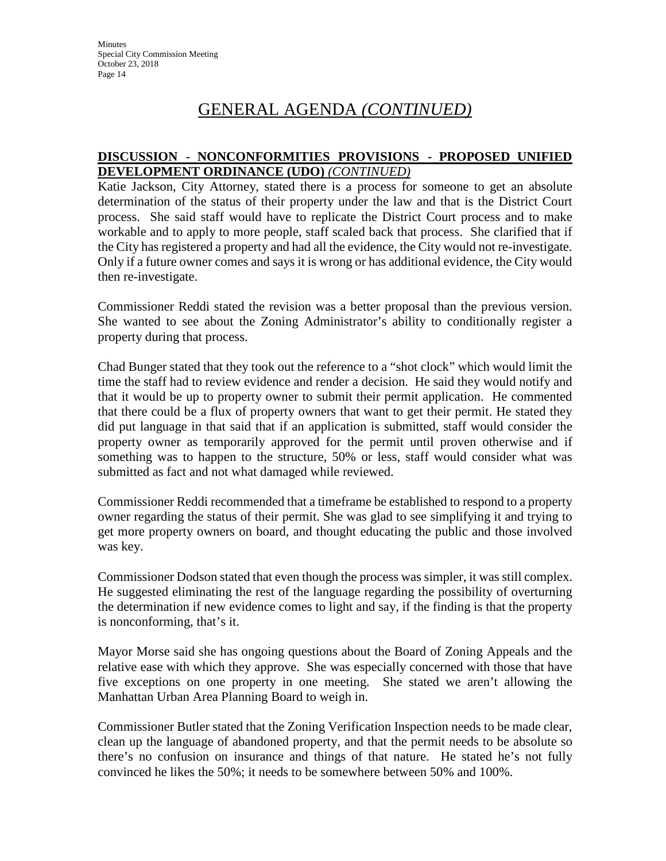#### **DISCUSSION - NONCONFORMITIES PROVISIONS - PROPOSED UNIFIED DEVELOPMENT ORDINANCE (UDO)** *(CONTINUED)*

Katie Jackson, City Attorney, stated there is a process for someone to get an absolute determination of the status of their property under the law and that is the District Court process. She said staff would have to replicate the District Court process and to make workable and to apply to more people, staff scaled back that process. She clarified that if the City has registered a property and had all the evidence, the City would not re-investigate. Only if a future owner comes and says it is wrong or has additional evidence, the City would then re-investigate.

Commissioner Reddi stated the revision was a better proposal than the previous version. She wanted to see about the Zoning Administrator's ability to conditionally register a property during that process.

Chad Bunger stated that they took out the reference to a "shot clock" which would limit the time the staff had to review evidence and render a decision. He said they would notify and that it would be up to property owner to submit their permit application. He commented that there could be a flux of property owners that want to get their permit. He stated they did put language in that said that if an application is submitted, staff would consider the property owner as temporarily approved for the permit until proven otherwise and if something was to happen to the structure, 50% or less, staff would consider what was submitted as fact and not what damaged while reviewed.

Commissioner Reddi recommended that a timeframe be established to respond to a property owner regarding the status of their permit. She was glad to see simplifying it and trying to get more property owners on board, and thought educating the public and those involved was key.

Commissioner Dodson stated that even though the process was simpler, it was still complex. He suggested eliminating the rest of the language regarding the possibility of overturning the determination if new evidence comes to light and say, if the finding is that the property is nonconforming, that's it.

Mayor Morse said she has ongoing questions about the Board of Zoning Appeals and the relative ease with which they approve. She was especially concerned with those that have five exceptions on one property in one meeting. She stated we aren't allowing the Manhattan Urban Area Planning Board to weigh in.

Commissioner Butler stated that the Zoning Verification Inspection needs to be made clear, clean up the language of abandoned property, and that the permit needs to be absolute so there's no confusion on insurance and things of that nature. He stated he's not fully convinced he likes the 50%; it needs to be somewhere between 50% and 100%.